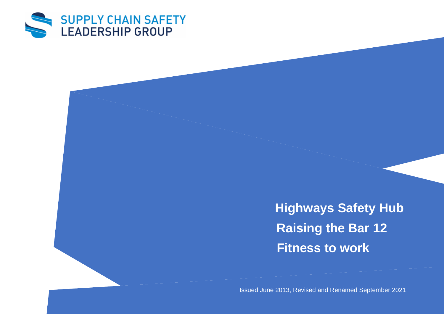

**Highways Safety Hub Raising the Bar 12 Fitness to work**

Issued June 2013, Revised and Renamed September 2021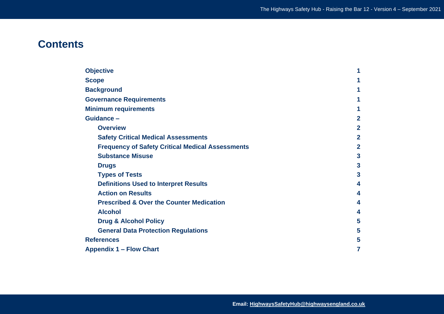# **Contents**

| <b>Objective</b>                                        | 1              |
|---------------------------------------------------------|----------------|
| <b>Scope</b>                                            | 1              |
| <b>Background</b>                                       | 1              |
| <b>Governance Requirements</b>                          | 1              |
| <b>Minimum requirements</b>                             | 1              |
| Guidance -                                              | $\overline{2}$ |
| <b>Overview</b>                                         | $\overline{2}$ |
| <b>Safety Critical Medical Assessments</b>              | $\overline{2}$ |
| <b>Frequency of Safety Critical Medical Assessments</b> | $\overline{2}$ |
| <b>Substance Misuse</b>                                 | $\mathbf{3}$   |
| <b>Drugs</b>                                            | $\mathbf{3}$   |
| <b>Types of Tests</b>                                   | 3              |
| <b>Definitions Used to Interpret Results</b>            | 4              |
| <b>Action on Results</b>                                | 4              |
| <b>Prescribed &amp; Over the Counter Medication</b>     | 4              |
| <b>Alcohol</b>                                          | 4              |
| <b>Drug &amp; Alcohol Policy</b>                        | 5              |
| <b>General Data Protection Regulations</b>              | 5              |
| <b>References</b>                                       | 5              |
| <b>Appendix 1 - Flow Chart</b>                          | 7              |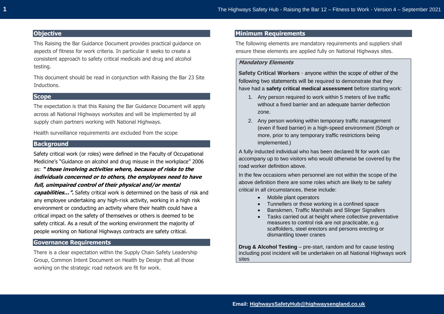## **Objective**

This Raising the Bar Guidance Document provides practical guidance on aspects of fitness for work criteria. In particular it seeks to create a consistent approach to safety critical medicals and drug and alcohol testing.

This document should be read in conjunction with Raising the Bar 23 Site Inductions.

## **Scope**

The expectation is that this Raising the Bar Guidance Document will apply across all National Highways worksites and will be implemented by all supply chain partners working with National Highways.

Health surveillance requirements are excluded from the scope

## **Background**

Safety critical work (or roles) were defined in the Faculty of Occupational Medicine's "Guidance on alcohol and drug misuse in the workplace" 2006 as: **" those involving activities where, because of risks to the** 

## **individuals concerned or to others, the employees need to have full, unimpaired control of their physical and/or mental**

**capabilities…".** Safety critical work is determined on the basis of risk and any employee undertaking any high-risk activity, working in a high risk environment or conducting an activity where their health could have a critical impact on the safety of themselves or others is deemed to be safety critical. As a result of the working environment the majority of people working on National Highways contracts are safety critical.

## **Governance Requirements**

There is a clear expectation within the Supply Chain Safety Leadership Group, Common Intent Document on Health by Design that all those working on the strategic road network are fit for work.

## **Minimum Requirements**

The following elements are mandatory requirements and suppliers shall ensure these elements are applied fully on National Highways sites.

## **Mandatory Elements**

**Safety Critical Workers** - anyone within the scope of either of the following two statements will be required to demonstrate that they have had a **safety critical medical assessment** before starting work:

- 1. Any person required to work within 5 meters of live traffic without a fixed barrier and an adequate barrier deflection zone.
- 2. Any person working within temporary traffic management (even if fixed barrier) in a high-speed environment (50mph or more, prior to any temporary traffic restrictions being implemented.)

A fully inducted individual who has been declared fit for work can accompany up to two visitors who would otherwise be covered by the road worker definition above.

In the few occasions when personnel are not within the scope of the above definition there are some roles which are likely to be safety critical in all circumstances, these include:

- Mobile plant operators
- Tunnellers or those working in a confined space
- Banskmen, Traffic Marshals and Slinger Signallers
- Tasks carried out at height where collective preventative measures to control risk are not practicable, e.g. scaffolders, steel erectors and persons erecting or dismantling tower cranes

**Drug & Alcohol Testing** – pre-start, random and for cause testing including post incident will be undertaken on all National Highways work sites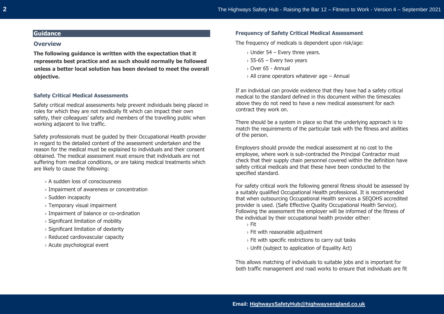## **Guidance**

#### **Overview**

**The following guidance is written with the expectation that it represents best practice and as such should normally be followed unless a better local solution has been devised to meet the overall objective.** 

#### **Safety Critical Medical Assessments**

Safety critical medical assessments help prevent individuals being placed in roles for which they are not medically fit which can impact their own safety, their colleagues' safety and members of the travelling public when working adjacent to live traffic.

Safety professionals must be guided by their Occupational Health provider in regard to the detailed content of the assessment undertaken and the reason for the medical must be explained to individuals and their consent obtained. The medical assessment must ensure that individuals are not suffering from medical conditions, or are taking medical treatments which are likely to cause the following:

- › A sudden loss of consciousness
- › Impairment of awareness or concentration
- › Sudden incapacity
- › Temporary visual impairment
- › Impairment of balance or co-ordination
- › Significant limitation of mobility
- › Significant limitation of dexterity
- › Reduced cardiovascular capacity
- › Acute psychological event

#### **Frequency of Safety Critical Medical Assessment**

The frequency of medicals is dependent upon risk/age:

- $\rightarrow$  Under 54 Every three vears.
- $\rightarrow$  55-65 Every two years
- › Over 65 Annual
- $\rightarrow$  All crane operators whatever age Annual

If an individual can provide evidence that they have had a safety critical medical to the standard defined in this document within the timescales above they do not need to have a new medical assessment for each contract they work on.

There should be a system in place so that the underlying approach is to match the requirements of the particular task with the fitness and abilities of the person.

Employers should provide the medical assessment at no cost to the employee, where work is sub-contracted the Principal Contractor must check that their supply chain personnel covered within the definition have safety critical medicals and that these have been conducted to the specified standard.

For safety critical work the following general fitness should be assessed by a suitably qualified Occupational Health professional. It is recommended that when outsourcing Occupational Health services a SEQOHS accredited provider is used. (Safe Effective Quality Occupational Health Service). Following the assessment the employer will be informed of the fitness of the individual by their occupational health provider either:

- › Fit
- › Fit with reasonable adjustment
- › Fit with specific restrictions to carry out tasks
- › Unfit (subject to application of Equality Act)

This allows matching of individuals to suitable jobs and is important for both traffic management and road works to ensure that individuals are fit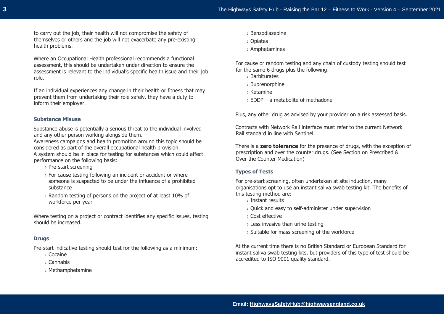to carry out the job, their health will not compromise the safety of themselves or others and the job will not exacerbate any pre-existing health problems.

Where an Occupational Health professional recommends a functional assessment, this should be undertaken under direction to ensure the assessment is relevant to the individual's specific health issue and their job role.

If an individual experiences any change in their health or fitness that may prevent them from undertaking their role safely, they have a duty to inform their employer.

#### **Substance Misuse**

Substance abuse is potentially a serious threat to the individual involved and any other person working alongside them.

Awareness campaigns and health promotion around this topic should be considered as part of the overall occupational health provision.

A system should be in place for testing for substances which could affect performance on the following basis:

- › Pre-start screening
- $\rightarrow$  For cause testing following an incident or accident or where someone is suspected to be under the influence of a prohibited substance
- › Random testing of persons on the project of at least 10% of workforce per year

Where testing on a project or contract identifies any specific issues, testing should be increased.

#### **Drugs**

Pre-start indicative testing should test for the following as a minimum:

- › Cocaine
- › Cannabis
- › Methamphetamine
- › Benzodiazepine
- › Opiates
- › Amphetamines

For cause or random testing and any chain of custody testing should test for the same 6 drugs plus the following:

- › Barbiturates
- › Buprenorphine
- › Ketamine
- $\rightarrow$  EDDP a metabolite of methadone

Plus, any other drug as advised by your provider on a risk assessed basis.

Contracts with Network Rail interface must refer to the current Network Rail standard in line with Sentinel.

There is a **zero tolerance** for the presence of drugs, with the exception of prescription and over the counter drugs. (See Section on Prescribed & Over the Counter Medication)

#### **Types of Tests**

For pre-start screening, often undertaken at site induction, many organisations opt to use an instant saliva swab testing kit. The benefits of this testing method are:

- › Instant results
- › Quick and easy to self-administer under supervision
- › Cost effective
- $\rightarrow$  Less invasive than urine testing
- › Suitable for mass screening of the workforce

At the current time there is no British Standard or European Standard for instant saliva swab testing kits, but providers of this type of test should be accredited to ISO 9001 quality standard.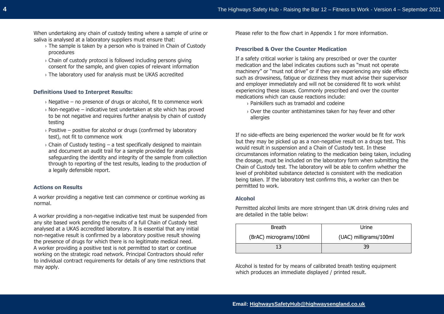When undertaking any chain of custody testing where a sample of urine or saliva is analysed at a laboratory suppliers must ensure that:

- $\rightarrow$  The sample is taken by a person who is trained in Chain of Custody procedures
- $\rightarrow$  Chain of custody protocol is followed including persons giving consent for the sample, and given copies of relevant information
- › The laboratory used for analysis must be UKAS accredited

## **Definitions Used to Interpret Results:**

- $\rightarrow$  Negative no presence of drugs or alcohol, fit to commence work
- $\rightarrow$  Non-negative indicative test undertaken at site which has proved to be not negative and requires further analysis by chain of custody testing
- $\rightarrow$  Positive positive for alcohol or drugs (confirmed by laboratory test), not fit to commence work
- $\rightarrow$  Chain of Custody testing a test specifically designed to maintain and document an audit trail for a sample provided for analysis safeguarding the identity and integrity of the sample from collection through to reporting of the test results, leading to the production of a legally defensible report.

## **Actions on Results**

A worker providing a negative test can commence or continue working as normal.

A worker providing a non-negative indicative test must be suspended from any site based work pending the results of a full Chain of Custody test analysed at a UKAS accredited laboratory. It is essential that any initial non-negative result is confirmed by a laboratory positive result showing the presence of drugs for which there is no legitimate medical need. A worker providing a positive test is not permitted to start or continue working on the strategic road network. Principal Contractors should refer to individual contract requirements for details of any time restrictions that may apply.

Please refer to the flow chart in Appendix 1 for more information.

#### **Prescribed & Over the Counter Medication**

If a safety critical worker is taking any prescribed or over the counter medication and the label indicates cautions such as "must not operate machinery" or "must not drive" or if they are experiencing any side effects such as drowsiness, fatigue or dizziness they must advise their supervisor and employer immediately and will not be considered fit to work whilst experiencing these issues. Commonly prescribed and over the counter medications which can cause reactions include:

› Painkillers such as tramadol and codeine

› Over the counter antihistamines taken for hay fever and other allergies

If no side-effects are being experienced the worker would be fit for work but they may be picked up as a non-negative result on a drugs test. This would result in suspension and a Chain of Custody test. In these circumstances information relating to the medication being taken, including the dosage, must be included on the laboratory form when submitting the Chain of Custody test. The laboratory will be able to confirm whether the level of prohibited substance detected is consistent with the medication being taken. If the laboratory test confirms this, a worker can then be permitted to work.

#### **Alcohol**

Permitted alcohol limits are more stringent than UK drink driving rules and are detailed in the table below:

| <b>Breath</b>           | Urine                  |
|-------------------------|------------------------|
| (BrAC) micrograms/100ml | (UAC) milligrams/100ml |
|                         | 39                     |

Alcohol is tested for by means of calibrated breath testing equipment which produces an immediate displayed / printed result.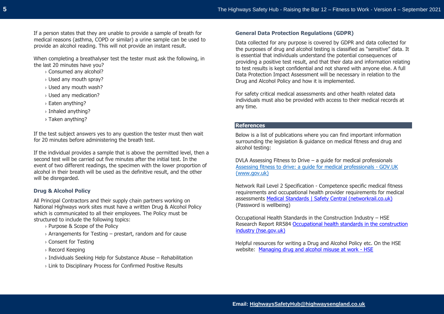If a person states that they are unable to provide a sample of breath for medical reasons (asthma, COPD or similar) a urine sample can be used to provide an alcohol reading. This will not provide an instant result.

When completing a breathalyser test the tester must ask the following, in

the last 20 minutes have you?

- › Consumed any alcohol?
- › Used any mouth spray?
- › Used any mouth wash?
- › Used any medication?
- › Eaten anything?
- › Inhaled anything?
- › Taken anything?

If the test subject answers yes to any question the tester must then wait for 20 minutes before administering the breath test.

If the individual provides a sample that is above the permitted level, then a second test will be carried out five minutes after the initial test. In the event of two different readings, the specimen with the lower proportion of alcohol in their breath will be used as the definitive result, and the other will be disregarded.

## **Drug & Alcohol Policy**

All Principal Contractors and their supply chain partners working on National Highways work sites must have a written Drug & Alcohol Policy which is communicated to all their employees. The Policy must be structured to include the following topics:

- › Purpose & Scope of the Policy
- $\rightarrow$  Arrangements for Testing prestart, random and for cause
- › Consent for Testing
- › Record Keeping
- $\rightarrow$  Individuals Seeking Help for Substance Abuse Rehabilitation
- › Link to Disciplinary Process for Confirmed Positive Results

## **General Data Protection Regulations (GDPR)**

Data collected for any purpose is covered by GDPR and data collected for the purposes of drug and alcohol testing is classified as "sensitive" data. It is essential that individuals understand the potential consequences of providing a positive test result, and that their data and information relating to test results is kept confidential and not shared with anyone else. A full Data Protection Impact Assessment will be necessary in relation to the Drug and Alcohol Policy and how it is implemented.

For safety critical medical assessments and other health related data individuals must also be provided with access to their medical records at any time.

## **References**

Below is a list of publications where you can find important information surrounding the legislation & guidance on medical fitness and drug and alcohol testing:

DVLA Assessing Fitness to Drive – a guide for medical professionals Assessing fitness to drive: a guide for medical professionals - GOV.UK (www.gov.uk)

Network Rail Level 2 Specification - Competence specific medical fitness requirements and occupational health provider requirements for medical assessments [Medical Standards | Safety Central \(networkrail.co.uk\)](https://safety.networkrail.co.uk/healthandwellbeing/network-rail-employee-area/medical-standards/) (Password is wellbeing)

Occupational Health Standards in the Construction Industry – HSE Research Report RR584 [Occupational health standards in the construction](https://www.hse.gov.uk/research/rrhtm/rr584.htm)  [industry \(hse.gov.uk\)](https://www.hse.gov.uk/research/rrhtm/rr584.htm)

Helpful resources for writing a Drug and Alcohol Policy etc. On the HSE website: [Managing drug and alcohol misuse at work -](https://www.hse.gov.uk/alcoholdrugs/) HSE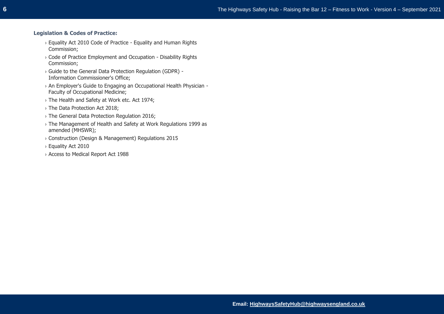### **Legislation & Codes of Practice:**

- › Equality Act 2010 Code of Practice Equality and Human Rights Commission;
- › Code of Practice Employment and Occupation Disability Rights Commission;
- › Guide to the General Data Protection Regulation (GDPR) Information Commissioner's Office;
- › An Employer's Guide to Engaging an Occupational Health Physician Faculty of Occupational Medicine;
- › The Health and Safety at Work etc. Act 1974;
- › The Data Protection Act 2018;
- › The General Data Protection Regulation 2016;
- › The Management of Health and Safety at Work Regulations 1999 as amended (MHSWR);
- › Construction (Design & Management) Regulations 2015
- › Equality Act 2010
- › Access to Medical Report Act 1988